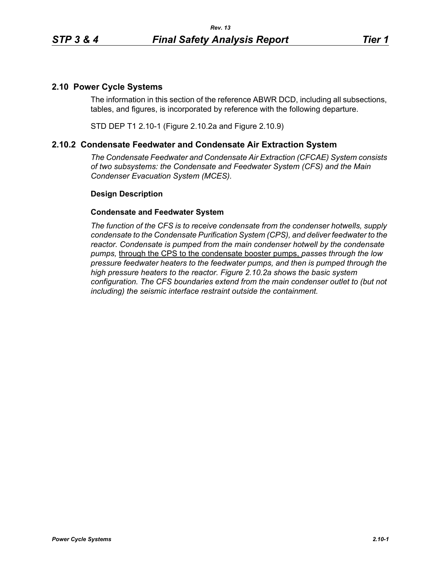## **2.10 Power Cycle Systems**

The information in this section of the reference ABWR DCD, including all subsections, tables, and figures, is incorporated by reference with the following departure.

STD DEP T1 2.10-1 (Figure 2.10.2a and Figure 2.10.9)

## **2.10.2 Condensate Feedwater and Condensate Air Extraction System**

*The Condensate Feedwater and Condensate Air Extraction (CFCAE) System consists of two subsystems: the Condensate and Feedwater System (CFS) and the Main Condenser Evacuation System (MCES).*

## **Design Description**

## **Condensate and Feedwater System**

*The function of the CFS is to receive condensate from the condenser hotwells, supply condensate to the Condensate Purification System (CPS), and deliver feedwater to the reactor. Condensate is pumped from the main condenser hotwell by the condensate pumps,* through the CPS to the condensate booster pumps, *passes through the low pressure feedwater heaters to the feedwater pumps, and then is pumped through the high pressure heaters to the reactor. Figure 2.10.2a shows the basic system configuration. The CFS boundaries extend from the main condenser outlet to (but not including) the seismic interface restraint outside the containment.*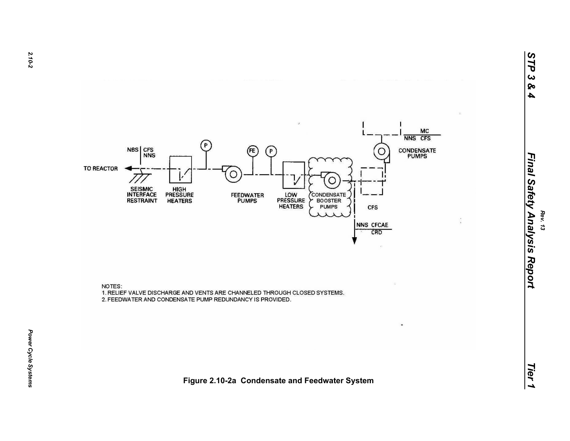

NOTES: